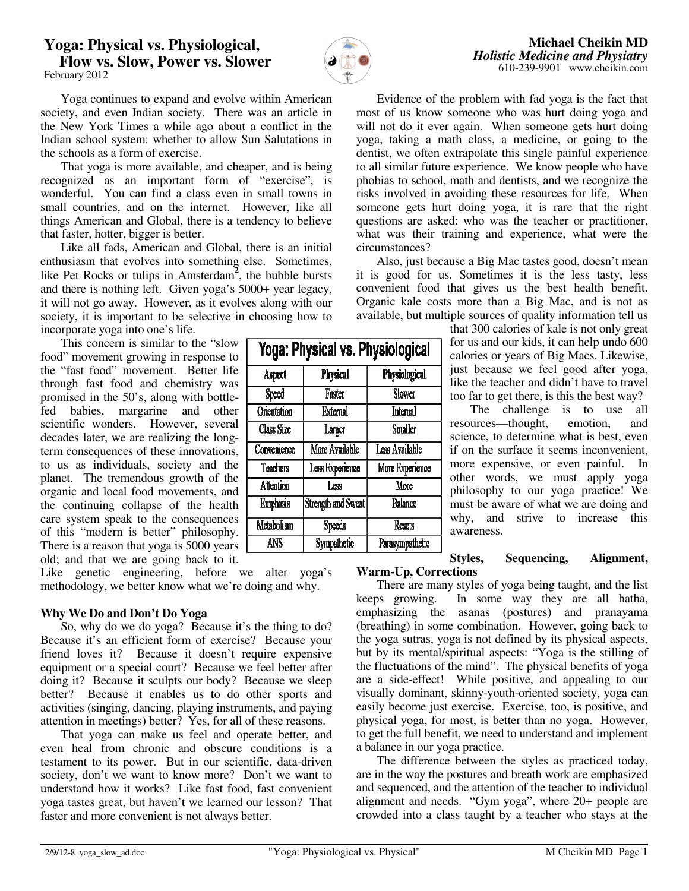# **Yoga: Physical vs. Physiological, Flow vs. Slow, Power vs. Slower**  February 2012



Yoga: Physical vs. Physiological

Physiological

Slower

Internal

**Smaller** 

Less Available

More Experience

More

**Balance** 

**Resets** 

Parasympathetic

**Physical** 

Faster

**External** 

Larger More Available

Less Experience

Less

**Strength and Sweat** 

Speeds

**Sympathetic** 

**Aspect** 

Speed **Orientation** 

Class Size

Convenience Teachers

**Attention** 

**Emphasis** 

Metabolism

ANS

 Yoga continues to expand and evolve within American society, and even Indian society. There was an article in the New York Times a while ago about a conflict in the Indian school system: whether to allow Sun Salutations in the schools as a form of exercise.

 That yoga is more available, and cheaper, and is being recognized as an important form of "exercise", is wonderful. You can find a class even in small towns in small countries, and on the internet. However, like all things American and Global, there is a tendency to believe that faster, hotter, bigger is better.

 Like all fads, American and Global, there is an initial enthusiasm that evolves into something else. Sometimes, like Pet Rocks or tulips in Amsterdam**<sup>2</sup>** , the bubble bursts and there is nothing left. Given yoga's 5000+ year legacy, it will not go away. However, as it evolves along with our society, it is important to be selective in choosing how to incorporate yoga into one's life.

 This concern is similar to the "slow food" movement growing in response to the "fast food" movement. Better life through fast food and chemistry was promised in the 50's, along with bottlefed babies, margarine and other scientific wonders. However, several decades later, we are realizing the longterm consequences of these innovations, to us as individuals, society and the planet. The tremendous growth of the organic and local food movements, and the continuing collapse of the health care system speak to the consequences of this "modern is better" philosophy. There is a reason that yoga is 5000 years old; and that we are going back to it.

Like genetic engineering, before we alter yoga's methodology, we better know what we're doing and why.

# **Why We Do and Don't Do Yoga**

 So, why do we do yoga? Because it's the thing to do? Because it's an efficient form of exercise? Because your friend loves it? Because it doesn't require expensive equipment or a special court? Because we feel better after doing it? Because it sculpts our body? Because we sleep better? Because it enables us to do other sports and activities (singing, dancing, playing instruments, and paying attention in meetings) better? Yes, for all of these reasons.

 That yoga can make us feel and operate better, and even heal from chronic and obscure conditions is a testament to its power. But in our scientific, data-driven society, don't we want to know more? Don't we want to understand how it works? Like fast food, fast convenient yoga tastes great, but haven't we learned our lesson? That faster and more convenient is not always better.

| yoga, taking a math class, a medicine, or going to the       |
|--------------------------------------------------------------|
| dentist, we often extrapolate this single painful experience |
| to all similar future experience. We know people who have    |
| phobias to school, math and dentists, and we recognize the   |
| risks involved in avoiding these resources for life. When    |
| someone gets hurt doing yoga, it is rare that the right      |
| questions are asked: who was the teacher or practitioner,    |
| what was their training and experience, what were the        |
| circumstances?                                               |
| Also, just because a Big Mac tastes good, doesn't mean       |
|                                                              |

 Evidence of the problem with fad yoga is the fact that most of us know someone who was hurt doing yoga and will not do it ever again. When someone gets hurt doing

it is good for us. Sometimes it is the less tasty, less convenient food that gives us the best health benefit. Organic kale costs more than a Big Mac, and is not as available, but multiple sources of quality information tell us

> that 300 calories of kale is not only great for us and our kids, it can help undo 600 calories or years of Big Macs. Likewise, just because we feel good after yoga, like the teacher and didn't have to travel too far to get there, is this the best way?

> The challenge is to use all resources—thought, emotion, and science, to determine what is best, even if on the surface it seems inconvenient, more expensive, or even painful. In other words, we must apply yoga philosophy to our yoga practice! We must be aware of what we are doing and why, and strive to increase this awareness.

#### **Styles, Sequencing, Alignment, Warm-Up, Corrections**

 There are many styles of yoga being taught, and the list keeps growing. In some way they are all hatha, emphasizing the asanas (postures) and pranayama (breathing) in some combination. However, going back to the yoga sutras, yoga is not defined by its physical aspects, but by its mental/spiritual aspects: "Yoga is the stilling of the fluctuations of the mind". The physical benefits of yoga are a side-effect! While positive, and appealing to our visually dominant, skinny-youth-oriented society, yoga can easily become just exercise. Exercise, too, is positive, and physical yoga, for most, is better than no yoga. However, to get the full benefit, we need to understand and implement a balance in our yoga practice.

 The difference between the styles as practiced today, are in the way the postures and breath work are emphasized and sequenced, and the attention of the teacher to individual alignment and needs. "Gym yoga", where 20+ people are crowded into a class taught by a teacher who stays at the